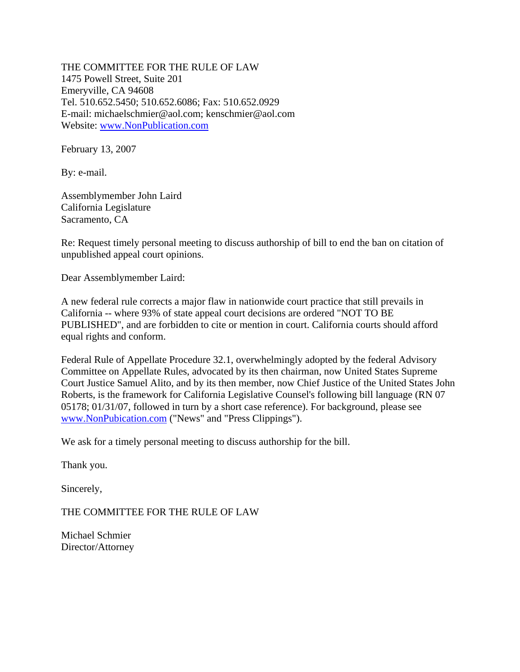THE COMMITTEE FOR THE RULE OF LAW 1475 Powell Street, Suite 201 Emeryville, CA 94608 Tel. 510.652.5450; 510.652.6086; Fax: 510.652.0929 E-mail: michaelschmier@aol.com; kenschmier@aol.com Website: www.NonPublication.com

February 13, 2007

By: e-mail.

Assemblymember John Laird California Legislature Sacramento, CA

Re: Request timely personal meeting to discuss authorship of bill to end the ban on citation of unpublished appeal court opinions.

Dear Assemblymember Laird:

A new federal rule corrects a major flaw in nationwide court practice that still prevails in California -- where 93% of state appeal court decisions are ordered "NOT TO BE PUBLISHED", and are forbidden to cite or mention in court. California courts should afford equal rights and conform.

Federal Rule of Appellate Procedure 32.1, overwhelmingly adopted by the federal Advisory Committee on Appellate Rules, advocated by its then chairman, now United States Supreme Court Justice Samuel Alito, and by its then member, now Chief Justice of the United States John Roberts, is the framework for California Legislative Counsel's following bill language (RN 07 05178; 01/31/07, followed in turn by a short case reference). For background, please see www.NonPubication.com ("News" and "Press Clippings").

We ask for a timely personal meeting to discuss authorship for the bill.

Thank you.

Sincerely,

THE COMMITTEE FOR THE RULE OF LAW

Michael Schmier Director/Attorney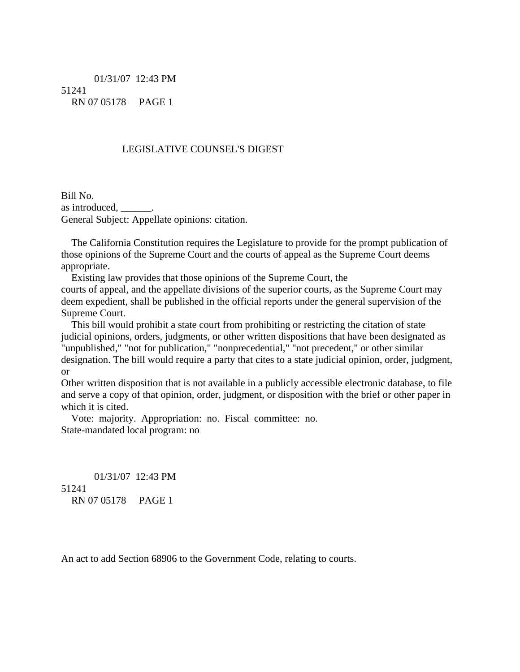01/31/07 12:43 PM 51241 RN 07 05178 PAGE 1

## LEGISLATIVE COUNSEL'S DIGEST

Bill No. as introduced, \_\_\_\_\_\_. General Subject: Appellate opinions: citation.

 The California Constitution requires the Legislature to provide for the prompt publication of those opinions of the Supreme Court and the courts of appeal as the Supreme Court deems appropriate.

 Existing law provides that those opinions of the Supreme Court, the courts of appeal, and the appellate divisions of the superior courts, as the Supreme Court may deem expedient, shall be published in the official reports under the general supervision of the Supreme Court.

 This bill would prohibit a state court from prohibiting or restricting the citation of state judicial opinions, orders, judgments, or other written dispositions that have been designated as "unpublished," "not for publication," "nonprecedential," "not precedent," or other similar designation. The bill would require a party that cites to a state judicial opinion, order, judgment, or

Other written disposition that is not available in a publicly accessible electronic database, to file and serve a copy of that opinion, order, judgment, or disposition with the brief or other paper in which it is cited.

 Vote: majority. Appropriation: no. Fiscal committee: no. State-mandated local program: no

 01/31/07 12:43 PM 51241 RN 07 05178 PAGE 1

An act to add Section 68906 to the Government Code, relating to courts.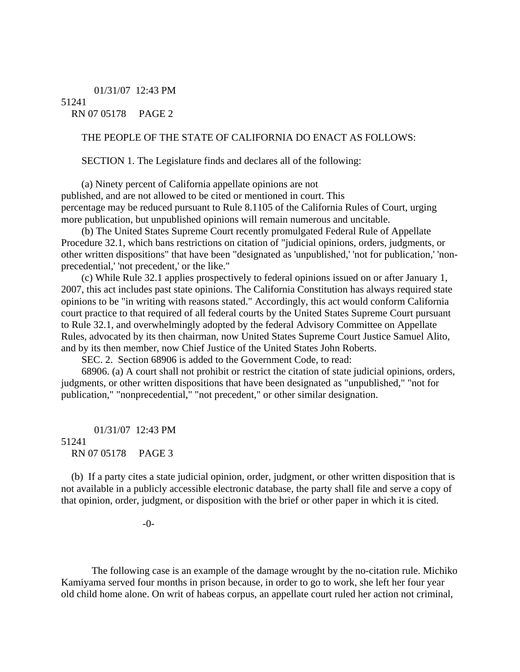01/31/07 12:43 PM 51241 RN 07 05178 PAGE 2

## THE PEOPLE OF THE STATE OF CALIFORNIA DO ENACT AS FOLLOWS:

SECTION 1. The Legislature finds and declares all of the following:

 (a) Ninety percent of California appellate opinions are not published, and are not allowed to be cited or mentioned in court. This percentage may be reduced pursuant to Rule 8.1105 of the California Rules of Court, urging more publication, but unpublished opinions will remain numerous and uncitable.

 (b) The United States Supreme Court recently promulgated Federal Rule of Appellate Procedure 32.1, which bans restrictions on citation of "judicial opinions, orders, judgments, or other written dispositions" that have been "designated as 'unpublished,' 'not for publication,' 'nonprecedential,' 'not precedent,' or the like."

 (c) While Rule 32.1 applies prospectively to federal opinions issued on or after January 1, 2007, this act includes past state opinions. The California Constitution has always required state opinions to be "in writing with reasons stated." Accordingly, this act would conform California court practice to that required of all federal courts by the United States Supreme Court pursuant to Rule 32.1, and overwhelmingly adopted by the federal Advisory Committee on Appellate Rules, advocated by its then chairman, now United States Supreme Court Justice Samuel Alito, and by its then member, now Chief Justice of the United States John Roberts.

SEC. 2. Section 68906 is added to the Government Code, to read:

 68906. (a) A court shall not prohibit or restrict the citation of state judicial opinions, orders, judgments, or other written dispositions that have been designated as "unpublished," "not for publication," "nonprecedential," "not precedent," or other similar designation.

 01/31/07 12:43 PM 51241 RN 07 05178 PAGE 3

 (b) If a party cites a state judicial opinion, order, judgment, or other written disposition that is not available in a publicly accessible electronic database, the party shall file and serve a copy of that opinion, order, judgment, or disposition with the brief or other paper in which it is cited.

-0-

 The following case is an example of the damage wrought by the no-citation rule. Michiko Kamiyama served four months in prison because, in order to go to work, she left her four year old child home alone. On writ of habeas corpus, an appellate court ruled her action not criminal,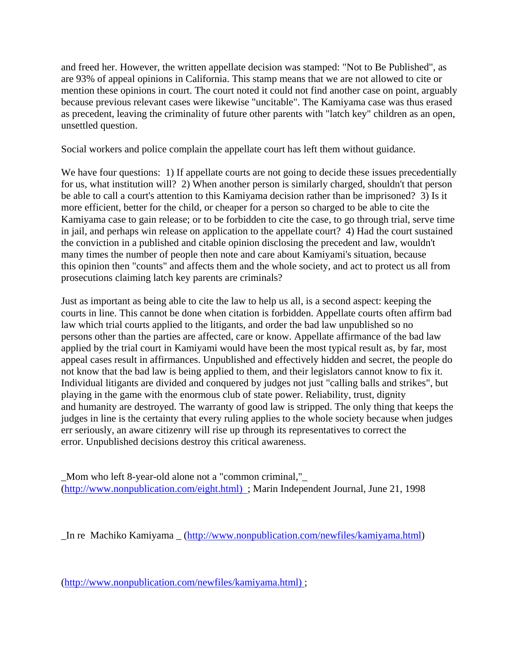and freed her. However, the written appellate decision was stamped: "Not to Be Published", as are 93% of appeal opinions in California. This stamp means that we are not allowed to cite or mention these opinions in court. The court noted it could not find another case on point, arguably because previous relevant cases were likewise "uncitable". The Kamiyama case was thus erased as precedent, leaving the criminality of future other parents with "latch key" children as an open, unsettled question.

Social workers and police complain the appellate court has left them without guidance.

We have four questions: 1) If appellate courts are not going to decide these issues precedentially for us, what institution will? 2) When another person is similarly charged, shouldn't that person be able to call a court's attention to this Kamiyama decision rather than be imprisoned? 3) Is it more efficient, better for the child, or cheaper for a person so charged to be able to cite the Kamiyama case to gain release; or to be forbidden to cite the case, to go through trial, serve time in jail, and perhaps win release on application to the appellate court? 4) Had the court sustained the conviction in a published and citable opinion disclosing the precedent and law, wouldn't many times the number of people then note and care about Kamiyami's situation, because this opinion then "counts" and affects them and the whole society, and act to protect us all from prosecutions claiming latch key parents are criminals?

Just as important as being able to cite the law to help us all, is a second aspect: keeping the courts in line. This cannot be done when citation is forbidden. Appellate courts often affirm bad law which trial courts applied to the litigants, and order the bad law unpublished so no persons other than the parties are affected, care or know. Appellate affirmance of the bad law applied by the trial court in Kamiyami would have been the most typical result as, by far, most appeal cases result in affirmances. Unpublished and effectively hidden and secret, the people do not know that the bad law is being applied to them, and their legislators cannot know to fix it. Individual litigants are divided and conquered by judges not just "calling balls and strikes", but playing in the game with the enormous club of state power. Reliability, trust, dignity and humanity are destroyed. The warranty of good law is stripped. The only thing that keeps the judges in line is the certainty that every ruling applies to the whole society because when judges err seriously, an aware citizenry will rise up through its representatives to correct the error. Unpublished decisions destroy this critical awareness.

\_Mom who left 8-year-old alone not a "common criminal,"\_ (http://www.nonpublication.com/eight.html) ; Marin Independent Journal, June 21, 1998

\_In re Machiko Kamiyama \_ (http://www.nonpublication.com/newfiles/kamiyama.html)

(http://www.nonpublication.com/newfiles/kamiyama.html) ;